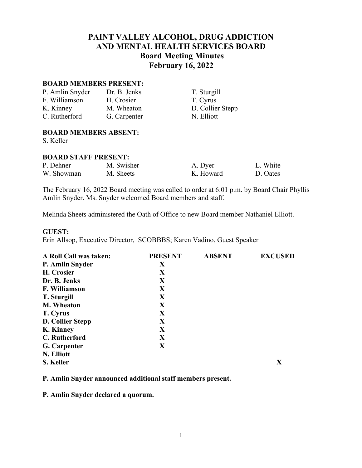# **PAINT VALLEY ALCOHOL, DRUG ADDICTION AND MENTAL HEALTH SERVICES BOARD Board Meeting Minutes February 16, 2022**

#### **BOARD MEMBERS PRESENT:**

| P. Amlin Snyder | Dr. B. Jenks |
|-----------------|--------------|
| F. Williamson   | H. Crosier   |
| K. Kinney       | M. Wheaton   |
| C. Rutherford   | G. Carpenter |

T. Sturgill T. Cyrus D. Collier Stepp r N. Elliott

#### **BOARD MEMBERS ABSENT:**

S. Keller

#### **BOARD STAFF PRESENT:**

| P. Dehner  | M. Swisher | A. Dyer   | L. White |
|------------|------------|-----------|----------|
| W. Showman | M. Sheets  | K. Howard | D. Oates |

The February 16, 2022 Board meeting was called to order at 6:01 p.m. by Board Chair Phyllis Amlin Snyder. Ms. Snyder welcomed Board members and staff.

Melinda Sheets administered the Oath of Office to new Board member Nathaniel Elliott.

#### **GUEST:**

Erin Allsop, Executive Director, SCOBBBS; Karen Vadino, Guest Speaker

| A Roll Call was taken:  | <b>PRESENT</b> | <b>ABSENT</b> | <b>EXCUSED</b> |
|-------------------------|----------------|---------------|----------------|
| P. Amlin Snyder         | X              |               |                |
| H. Crosier              | X              |               |                |
| Dr. B. Jenks            | X              |               |                |
| F. Williamson           | X              |               |                |
| <b>T.</b> Sturgill      | X              |               |                |
| <b>M. Wheaton</b>       | X              |               |                |
| T. Cyrus                | X              |               |                |
| <b>D. Collier Stepp</b> | X              |               |                |
| K. Kinney               | X              |               |                |
| C. Rutherford           | X              |               |                |
| G. Carpenter            | X              |               |                |
| N. Elliott              |                |               |                |
| S. Keller               |                |               | X              |

**P. Amlin Snyder announced additional staff members present.**

**P. Amlin Snyder declared a quorum.**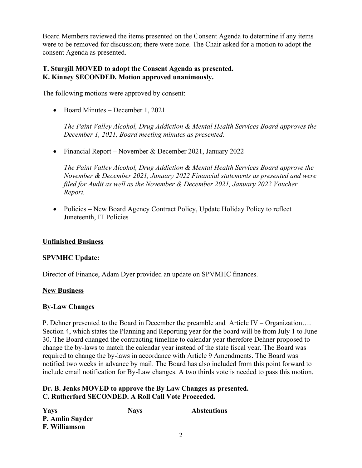Board Members reviewed the items presented on the Consent Agenda to determine if any items were to be removed for discussion; there were none. The Chair asked for a motion to adopt the consent Agenda as presented.

#### **T. Sturgill MOVED to adopt the Consent Agenda as presented. K. Kinney SECONDED. Motion approved unanimously.**

The following motions were approved by consent:

• Board Minutes – December 1, 2021

*The Paint Valley Alcohol, Drug Addiction & Mental Health Services Board approves the December 1, 2021, Board meeting minutes as presented.*

• Financial Report – November & December 2021, January 2022

*The Paint Valley Alcohol, Drug Addiction & Mental Health Services Board approve the November & December 2021, January 2022 Financial statements as presented and were filed for Audit as well as the November & December 2021, January 2022 Voucher Report.*

• Policies – New Board Agency Contract Policy, Update Holiday Policy to reflect Juneteenth, IT Policies

## **Unfinished Business**

## **SPVMHC Update:**

Director of Finance, Adam Dyer provided an update on SPVMHC finances.

#### **New Business**

#### **By-Law Changes**

P. Dehner presented to the Board in December the preamble and Article IV – Organization…. Section 4, which states the Planning and Reporting year for the board will be from July 1 to June 30. The Board changed the contracting timeline to calendar year therefore Dehner proposed to change the by-laws to match the calendar year instead of the state fiscal year. The Board was required to change the by-laws in accordance with Article 9 Amendments. The Board was notified two weeks in advance by mail. The Board has also included from this point forward to include email notification for By-Law changes. A two thirds vote is needed to pass this motion.

## **Dr. B. Jenks MOVED to approve the By Law Changes as presented. C. Rutherford SECONDED. A Roll Call Vote Proceeded.**

| Yays            | <b>Nays</b> | <b>Abstentions</b> |
|-----------------|-------------|--------------------|
| P. Amlin Snyder |             |                    |
| F. Williamson   |             |                    |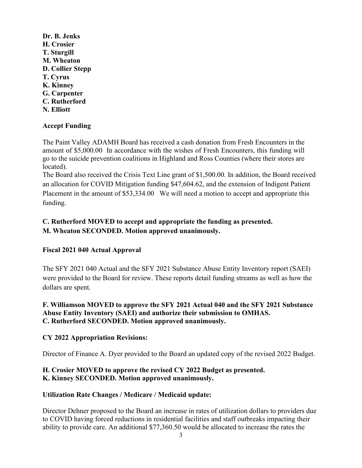**Dr. B. Jenks H. Crosier T. Sturgill M. Wheaton D. Collier Stepp T. Cyrus K. Kinney G. Carpenter C. Rutherford N. Elliott**

#### **Accept Funding**

The Paint Valley ADAMH Board has received a cash donation from Fresh Encounters in the amount of \$5,000.00 In accordance with the wishes of Fresh Encounters, this funding will go to the suicide prevention coalitions in Highland and Ross Counties (where their stores are located).

The Board also received the Crisis Text Line grant of \$1,500.00. In addition, the Board received an allocation for COVID Mitigation funding \$47,604.62, and the extension of Indigent Patient Placement in the amount of \$53,334.00 We will need a motion to accept and appropriate this funding.

# **C. Rutherford MOVED to accept and appropriate the funding as presented. M. Wheaton SECONDED. Motion approved unanimously.**

## **Fiscal 2021 040 Actual Approval**

The SFY 2021 040 Actual and the SFY 2021 Substance Abuse Entity Inventory report (SAEI) were provided to the Board for review. These reports detail funding streams as well as how the dollars are spent.

## **F. Williamson MOVED to approve the SFY 2021 Actual 040 and the SFY 2021 Substance Abuse Entity Inventory (SAEI) and authorize their submission to OMHAS. C. Rutherford SECONDED. Motion approved unanimously.**

## **CY 2022 Appropriation Revisions:**

Director of Finance A. Dyer provided to the Board an updated copy of the revised 2022 Budget.

## **H. Crosier MOVED to approve the revised CY 2022 Budget as presented. K. Kinney SECONDED. Motion approved unanimously.**

## **Utilization Rate Changes / Medicare / Medicaid update:**

Director Dehner proposed to the Board an increase in rates of utilization dollars to providers due to COVID having forced reductions in residential facilities and staff outbreaks impacting their ability to provide care. An additional \$77,360.50 would be allocated to increase the rates the